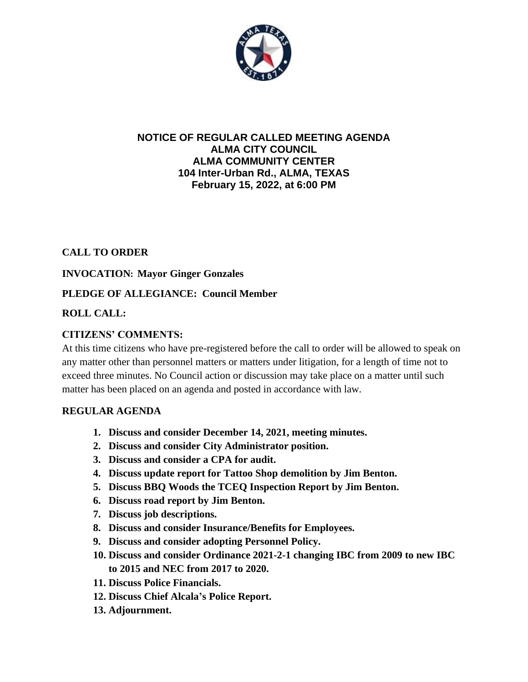

#### **NOTICE OF REGULAR CALLED MEETING AGENDA ALMA CITY COUNCIL ALMA COMMUNITY CENTER 104 Inter-Urban Rd., ALMA, TEXAS February 15, 2022, at 6:00 PM**

### **CALL TO ORDER**

### **INVOCATION: Mayor Ginger Gonzales**

### **PLEDGE OF ALLEGIANCE: Council Member**

## **ROLL CALL:**

## **CITIZENS' COMMENTS:**

At this time citizens who have pre-registered before the call to order will be allowed to speak on any matter other than personnel matters or matters under litigation, for a length of time not to exceed three minutes. No Council action or discussion may take place on a matter until such matter has been placed on an agenda and posted in accordance with law.

### **REGULAR AGENDA**

- **1. Discuss and consider December 14, 2021, meeting minutes.**
- **2. Discuss and consider City Administrator position.**
- **3. Discuss and consider a CPA for audit.**
- **4. Discuss update report for Tattoo Shop demolition by Jim Benton.**
- **5. Discuss BBQ Woods the TCEQ Inspection Report by Jim Benton.**
- **6. Discuss road report by Jim Benton.**
- **7. Discuss job descriptions.**
- **8. Discuss and consider Insurance/Benefits for Employees.**
- **9. Discuss and consider adopting Personnel Policy.**
- **10. Discuss and consider Ordinance 2021-2-1 changing IBC from 2009 to new IBC to 2015 and NEC from 2017 to 2020.**
- **11. Discuss Police Financials.**
- **12. Discuss Chief Alcala's Police Report.**
- **13. Adjournment.**